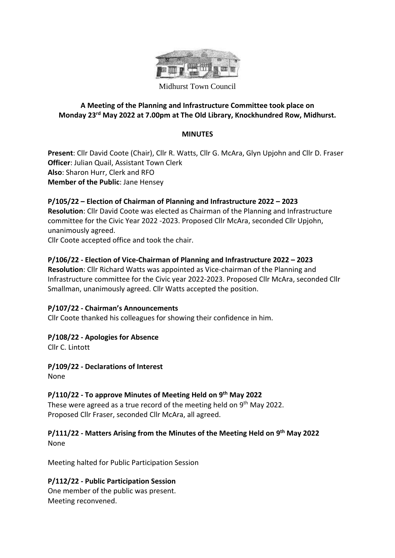

Midhurst Town Council

# **A Meeting of the Planning and Infrastructure Committee took place on Monday 23rd May 2022 at 7.00pm at The Old Library, Knockhundred Row, Midhurst.**

#### **MINUTES**

**Present**: Cllr David Coote (Chair), Cllr R. Watts, Cllr G. McAra, Glyn Upjohn and Cllr D. Fraser **Officer**: Julian Quail, Assistant Town Clerk **Also**: Sharon Hurr, Clerk and RFO **Member of the Public**: Jane Hensey

# **P/105/22 – Election of Chairman of Planning and Infrastructure 2022 – 2023 Resolution**: Cllr David Coote was elected as Chairman of the Planning and Infrastructure

committee for the Civic Year 2022 -2023. Proposed Cllr McAra, seconded Cllr Upjohn, unanimously agreed.

Cllr Coote accepted office and took the chair.

# **P/106/22 - Election of Vice-Chairman of Planning and Infrastructure 2022 – 2023**

**Resolution**: Cllr Richard Watts was appointed as Vice-chairman of the Planning and Infrastructure committee for the Civic year 2022-2023. Proposed Cllr McAra, seconded Cllr Smallman, unanimously agreed. Cllr Watts accepted the position.

#### **P/107/22 - Chairman's Announcements**

Cllr Coote thanked his colleagues for showing their confidence in him.

#### **P/108/22 - Apologies for Absence**

Cllr C. Lintott

**P/109/22 - Declarations of Interest** None

# **P/110/22 - To approve Minutes of Meeting Held on 9 th May 2022**

These were agreed as a true record of the meeting held on 9<sup>th</sup> May 2022. Proposed Cllr Fraser, seconded Cllr McAra, all agreed.

# **P/111/22 - Matters Arising from the Minutes of the Meeting Held on 9 th May 2022**

None

Meeting halted for Public Participation Session

#### **P/112/22 - Public Participation Session**

One member of the public was present. Meeting reconvened.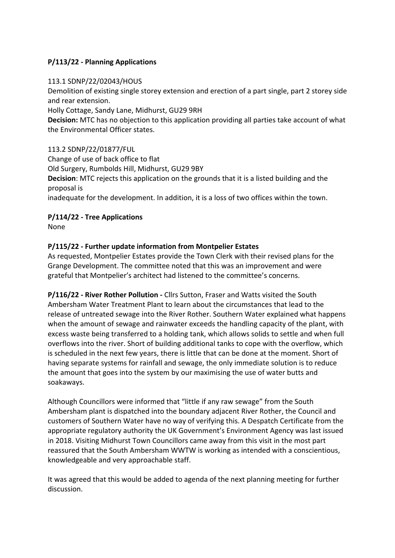# **P/113/22 - Planning Applications**

#### 113.1 SDNP/22/02043/HOUS

Demolition of existing single storey extension and erection of a part single, part 2 storey side and rear extension.

Holly Cottage, Sandy Lane, Midhurst, GU29 9RH

**Decision:** MTC has no objection to this application providing all parties take account of what the Environmental Officer states.

#### 113.2 SDNP/22/01877/FUL

Change of use of back office to flat Old Surgery, Rumbolds Hill, Midhurst, GU29 9BY **Decision**: MTC rejects this application on the grounds that it is a listed building and the proposal is inadequate for the development. In addition, it is a loss of two offices within the town.

# **P/114/22 - Tree Applications**

None

# **P/115/22 - Further update information from Montpelier Estates**

As requested, Montpelier Estates provide the Town Clerk with their revised plans for the Grange Development. The committee noted that this was an improvement and were grateful that Montpelier's architect had listened to the committee's concerns.

**P/116/22 - River Rother Pollution -** Cllrs Sutton, Fraser and Watts visited the South Ambersham Water Treatment Plant to learn about the circumstances that lead to the release of untreated sewage into the River Rother. Southern Water explained what happens when the amount of sewage and rainwater exceeds the handling capacity of the plant, with excess waste being transferred to a holding tank, which allows solids to settle and when full overflows into the river. Short of building additional tanks to cope with the overflow, which is scheduled in the next few years, there is little that can be done at the moment. Short of having separate systems for rainfall and sewage, the only immediate solution is to reduce the amount that goes into the system by our maximising the use of water butts and soakaways.

Although Councillors were informed that "little if any raw sewage" from the South Ambersham plant is dispatched into the boundary adjacent River Rother, the Council and customers of Southern Water have no way of verifying this. A Despatch Certificate from the appropriate regulatory authority the UK Government's Environment Agency was last issued in 2018. Visiting Midhurst Town Councillors came away from this visit in the most part reassured that the South Ambersham WWTW is working as intended with a conscientious, knowledgeable and very approachable staff.

It was agreed that this would be added to agenda of the next planning meeting for further discussion.